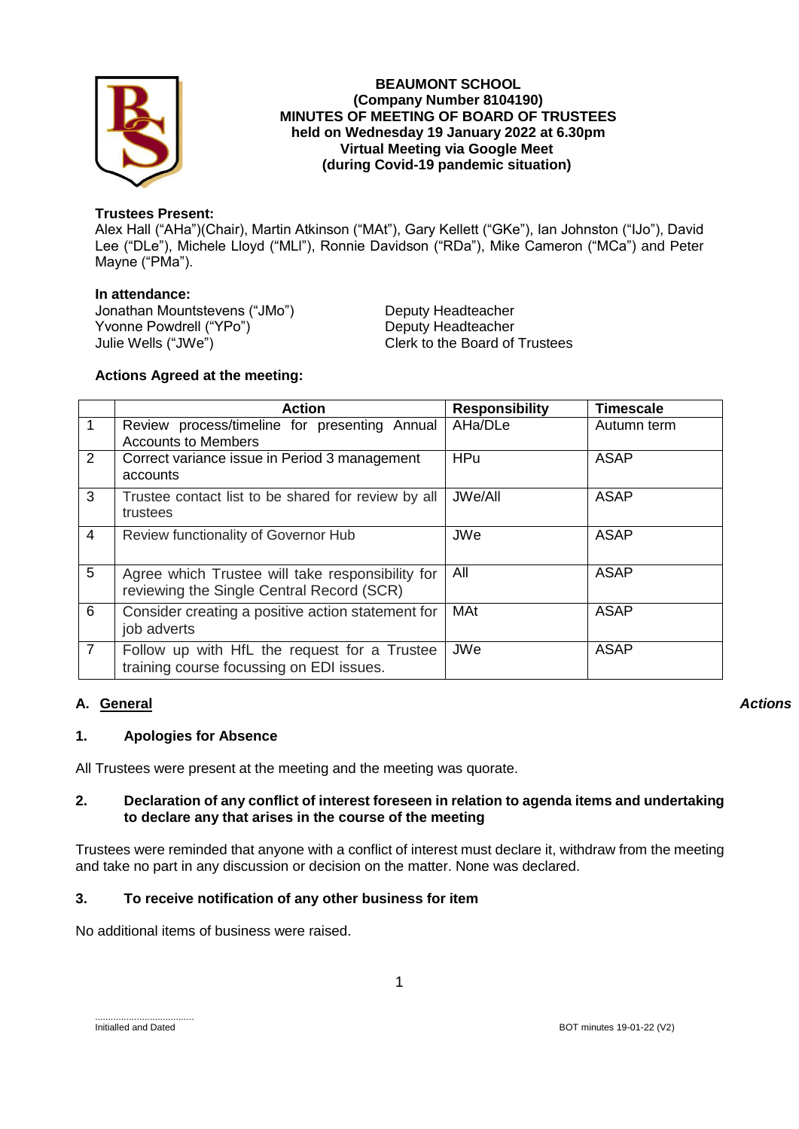

### **BEAUMONT SCHOOL (Company Number 8104190) MINUTES OF MEETING OF BOARD OF TRUSTEES held on Wednesday 19 January 2022 at 6.30pm Virtual Meeting via Google Meet (during Covid-19 pandemic situation)**

# **Trustees Present:**

Alex Hall ("AHa")(Chair), Martin Atkinson ("MAt"), Gary Kellett ("GKe"), Ian Johnston ("IJo"), David Lee ("DLe"), Michele Lloyd ("MLl"), Ronnie Davidson ("RDa"), Mike Cameron ("MCa") and Peter Mayne ("PMa").

### **In attendance:**

Jonathan Mountstevens ("JMo") Deputy Headteacher<br>
Yvonne Powdrell ("YPo") Deputy Headteacher Yvonne Powdrell ("YPo") Julie Wells ("JWe") Clerk to the Board of Trustees

# **Actions Agreed at the meeting:**

|                | <b>Action</b>                                                                                 | <b>Responsibility</b> | <b>Timescale</b> |
|----------------|-----------------------------------------------------------------------------------------------|-----------------------|------------------|
|                | Review process/timeline for presenting Annual<br><b>Accounts to Members</b>                   | AHa/DLe               | Autumn term      |
| 2              | Correct variance issue in Period 3 management<br>accounts                                     | <b>HPu</b>            | <b>ASAP</b>      |
| 3              | Trustee contact list to be shared for review by all<br>trustees                               | JWe/All               | ASAP             |
| 4              | Review functionality of Governor Hub                                                          | <b>JWe</b>            | <b>ASAP</b>      |
| 5              | Agree which Trustee will take responsibility for<br>reviewing the Single Central Record (SCR) | All                   | <b>ASAP</b>      |
| 6              | Consider creating a positive action statement for<br>job adverts                              | <b>MAt</b>            | <b>ASAP</b>      |
| $\overline{7}$ | Follow up with HfL the request for a Trustee<br>training course focussing on EDI issues.      | <b>JWe</b>            | <b>ASAP</b>      |

# **A. General**

### *Actions*

# **1. Apologies for Absence**

All Trustees were present at the meeting and the meeting was quorate.

### **2. Declaration of any conflict of interest foreseen in relation to agenda items and undertaking to declare any that arises in the course of the meeting**

Trustees were reminded that anyone with a conflict of interest must declare it, withdraw from the meeting and take no part in any discussion or decision on the matter. None was declared.

# **3. To receive notification of any other business for item**

No additional items of business were raised.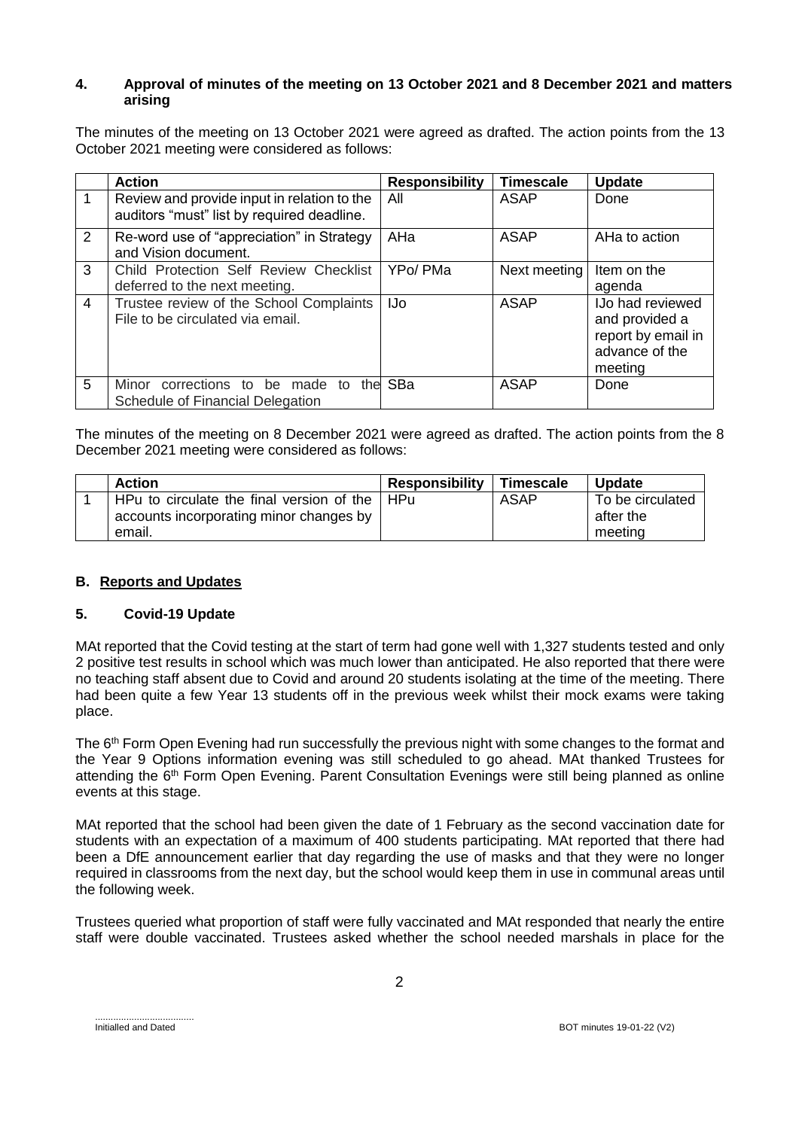### **4. Approval of minutes of the meeting on 13 October 2021 and 8 December 2021 and matters arising**

The minutes of the meeting on 13 October 2021 were agreed as drafted. The action points from the 13 October 2021 meeting were considered as follows:

|                | <b>Action</b>                                                                             | <b>Responsibility</b> | <b>Timescale</b> | <b>Update</b>                                                                                |
|----------------|-------------------------------------------------------------------------------------------|-----------------------|------------------|----------------------------------------------------------------------------------------------|
|                | Review and provide input in relation to the<br>auditors "must" list by required deadline. | All                   | <b>ASAP</b>      | Done                                                                                         |
| $\overline{2}$ | Re-word use of "appreciation" in Strategy<br>and Vision document.                         | AHa                   | ASAP             | AHa to action                                                                                |
| 3              | Child Protection Self Review Checklist<br>deferred to the next meeting.                   | YPo/ PMa              | Next meeting     | Item on the<br>agenda                                                                        |
| $\overline{4}$ | Trustee review of the School Complaints<br>File to be circulated via email.               | IJo                   | ASAP             | <b>IJo had reviewed</b><br>and provided a<br>report by email in<br>advance of the<br>meeting |
| 5              | Minor corrections to be made to<br>the<br>Schedule of Financial Delegation                | SBa                   | <b>ASAP</b>      | Done                                                                                         |

The minutes of the meeting on 8 December 2021 were agreed as drafted. The action points from the 8 December 2021 meeting were considered as follows:

| <b>Action</b>                             | <b>Responsibility</b> | <b>Timescale</b> | <b>Update</b>    |
|-------------------------------------------|-----------------------|------------------|------------------|
| HPu to circulate the final version of the | - HPu                 | ASAP             | To be circulated |
| accounts incorporating minor changes by   |                       |                  | after the        |
| email.                                    |                       |                  | meeting          |

# **B. Reports and Updates**

### **5. Covid-19 Update**

MAt reported that the Covid testing at the start of term had gone well with 1,327 students tested and only 2 positive test results in school which was much lower than anticipated. He also reported that there were no teaching staff absent due to Covid and around 20 students isolating at the time of the meeting. There had been quite a few Year 13 students off in the previous week whilst their mock exams were taking place.

The 6<sup>th</sup> Form Open Evening had run successfully the previous night with some changes to the format and the Year 9 Options information evening was still scheduled to go ahead. MAt thanked Trustees for attending the 6th Form Open Evening. Parent Consultation Evenings were still being planned as online events at this stage.

MAt reported that the school had been given the date of 1 February as the second vaccination date for students with an expectation of a maximum of 400 students participating. MAt reported that there had been a DfE announcement earlier that day regarding the use of masks and that they were no longer required in classrooms from the next day, but the school would keep them in use in communal areas until the following week.

Trustees queried what proportion of staff were fully vaccinated and MAt responded that nearly the entire staff were double vaccinated. Trustees asked whether the school needed marshals in place for the

......................................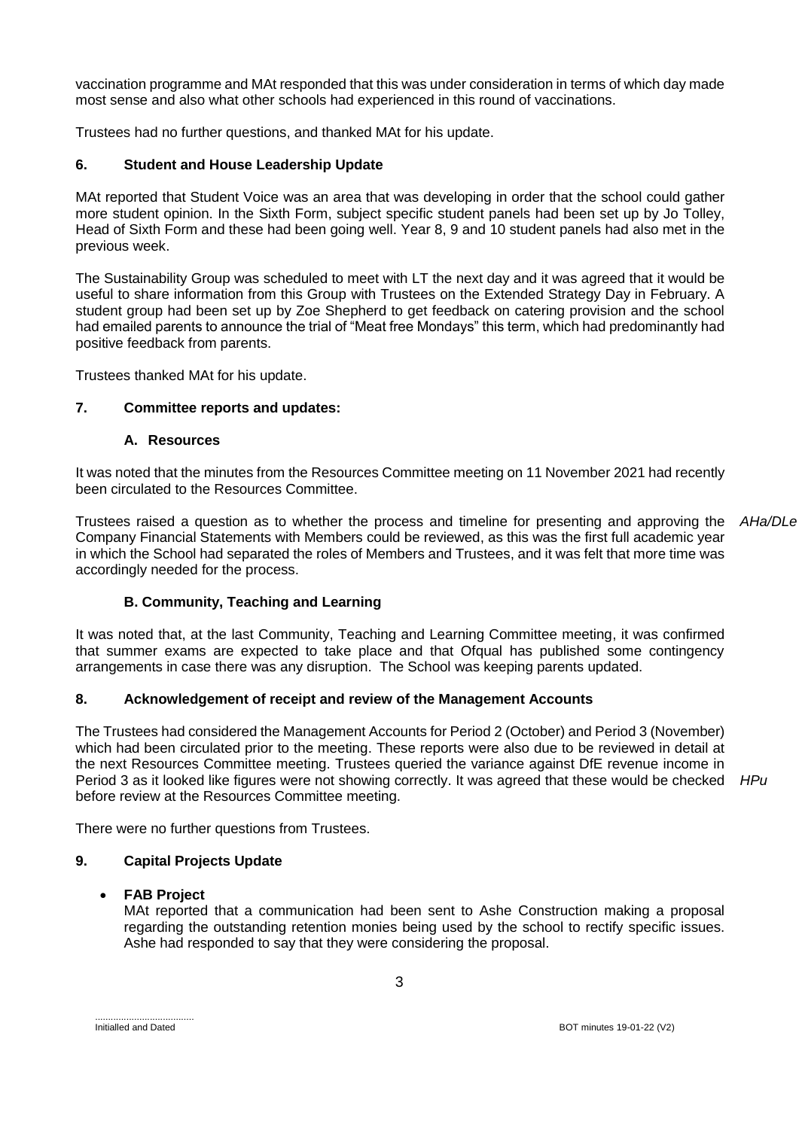vaccination programme and MAt responded that this was under consideration in terms of which day made most sense and also what other schools had experienced in this round of vaccinations.

Trustees had no further questions, and thanked MAt for his update.

### **6. Student and House Leadership Update**

MAt reported that Student Voice was an area that was developing in order that the school could gather more student opinion. In the Sixth Form, subject specific student panels had been set up by Jo Tolley, Head of Sixth Form and these had been going well. Year 8, 9 and 10 student panels had also met in the previous week.

The Sustainability Group was scheduled to meet with LT the next day and it was agreed that it would be useful to share information from this Group with Trustees on the Extended Strategy Day in February. A student group had been set up by Zoe Shepherd to get feedback on catering provision and the school had emailed parents to announce the trial of "Meat free Mondays" this term, which had predominantly had positive feedback from parents.

Trustees thanked MAt for his update.

### **7. Committee reports and updates:**

### **A. Resources**

It was noted that the minutes from the Resources Committee meeting on 11 November 2021 had recently been circulated to the Resources Committee.

Trustees raised a question as to whether the process and timeline for presenting and approving the Company Financial Statements with Members could be reviewed, as this was the first full academic year in which the School had separated the roles of Members and Trustees, and it was felt that more time was accordingly needed for the process. *AHa/DLe*

### **B. Community, Teaching and Learning**

It was noted that, at the last Community, Teaching and Learning Committee meeting, it was confirmed that summer exams are expected to take place and that Ofqual has published some contingency arrangements in case there was any disruption. The School was keeping parents updated.

### **8. Acknowledgement of receipt and review of the Management Accounts**

The Trustees had considered the Management Accounts for Period 2 (October) and Period 3 (November) which had been circulated prior to the meeting. These reports were also due to be reviewed in detail at the next Resources Committee meeting. Trustees queried the variance against DfE revenue income in Period 3 as it looked like figures were not showing correctly. It was agreed that these would be checked *HPu*before review at the Resources Committee meeting.

There were no further questions from Trustees.

### **9. Capital Projects Update**

### **FAB Project**

MAt reported that a communication had been sent to Ashe Construction making a proposal regarding the outstanding retention monies being used by the school to rectify specific issues. Ashe had responded to say that they were considering the proposal.

3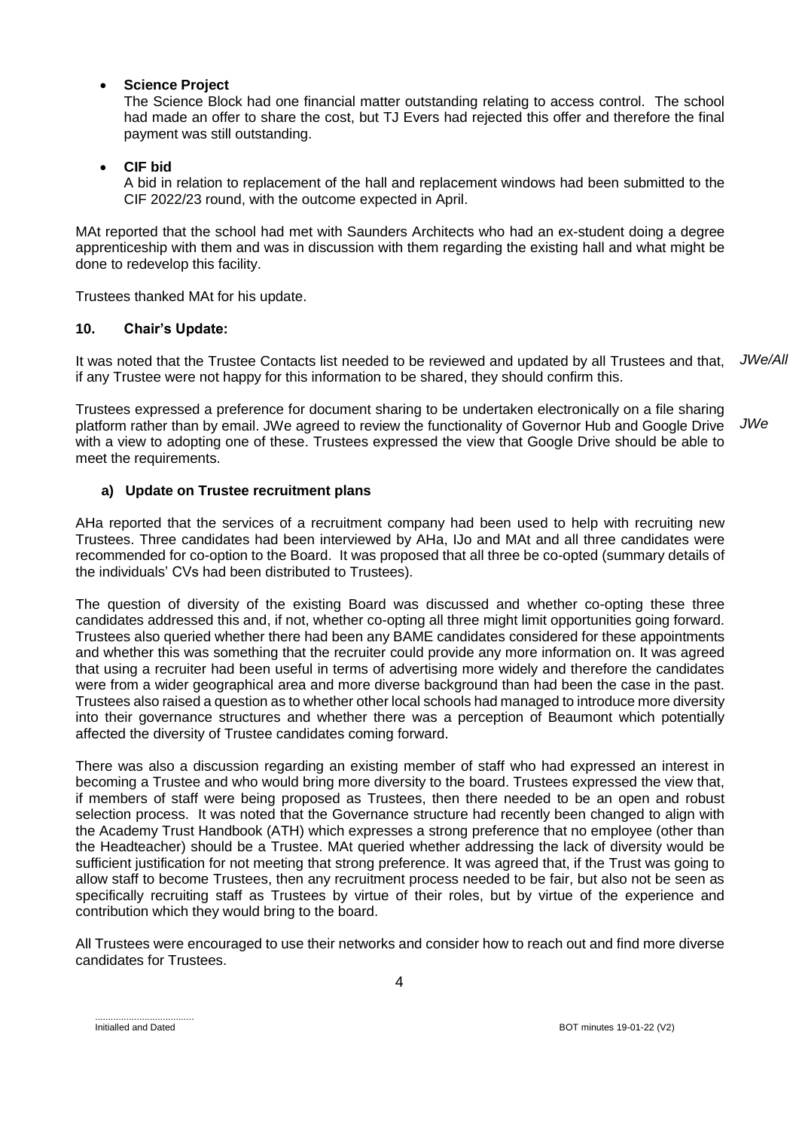### **Science Project**

The Science Block had one financial matter outstanding relating to access control. The school had made an offer to share the cost, but TJ Evers had rejected this offer and therefore the final payment was still outstanding.

### **CIF bid**

A bid in relation to replacement of the hall and replacement windows had been submitted to the CIF 2022/23 round, with the outcome expected in April.

MAt reported that the school had met with Saunders Architects who had an ex-student doing a degree apprenticeship with them and was in discussion with them regarding the existing hall and what might be done to redevelop this facility.

Trustees thanked MAt for his update.

### **10. Chair's Update:**

It was noted that the Trustee Contacts list needed to be reviewed and updated by all Trustees and that, if any Trustee were not happy for this information to be shared, they should confirm this. *JWe/All*

Trustees expressed a preference for document sharing to be undertaken electronically on a file sharing platform rather than by email. JWe agreed to review the functionality of Governor Hub and Google Drive with a view to adopting one of these. Trustees expressed the view that Google Drive should be able to meet the requirements. *JWe*

### **a) Update on Trustee recruitment plans**

AHa reported that the services of a recruitment company had been used to help with recruiting new Trustees. Three candidates had been interviewed by AHa, IJo and MAt and all three candidates were recommended for co-option to the Board. It was proposed that all three be co-opted (summary details of the individuals' CVs had been distributed to Trustees).

The question of diversity of the existing Board was discussed and whether co-opting these three candidates addressed this and, if not, whether co-opting all three might limit opportunities going forward. Trustees also queried whether there had been any BAME candidates considered for these appointments and whether this was something that the recruiter could provide any more information on. It was agreed that using a recruiter had been useful in terms of advertising more widely and therefore the candidates were from a wider geographical area and more diverse background than had been the case in the past. Trustees also raised a question as to whether other local schools had managed to introduce more diversity into their governance structures and whether there was a perception of Beaumont which potentially affected the diversity of Trustee candidates coming forward.

There was also a discussion regarding an existing member of staff who had expressed an interest in becoming a Trustee and who would bring more diversity to the board. Trustees expressed the view that, if members of staff were being proposed as Trustees, then there needed to be an open and robust selection process. It was noted that the Governance structure had recently been changed to align with the Academy Trust Handbook (ATH) which expresses a strong preference that no employee (other than the Headteacher) should be a Trustee. MAt queried whether addressing the lack of diversity would be sufficient justification for not meeting that strong preference. It was agreed that, if the Trust was going to allow staff to become Trustees, then any recruitment process needed to be fair, but also not be seen as specifically recruiting staff as Trustees by virtue of their roles, but by virtue of the experience and contribution which they would bring to the board.

All Trustees were encouraged to use their networks and consider how to reach out and find more diverse candidates for Trustees.

<sup>......................................</sup>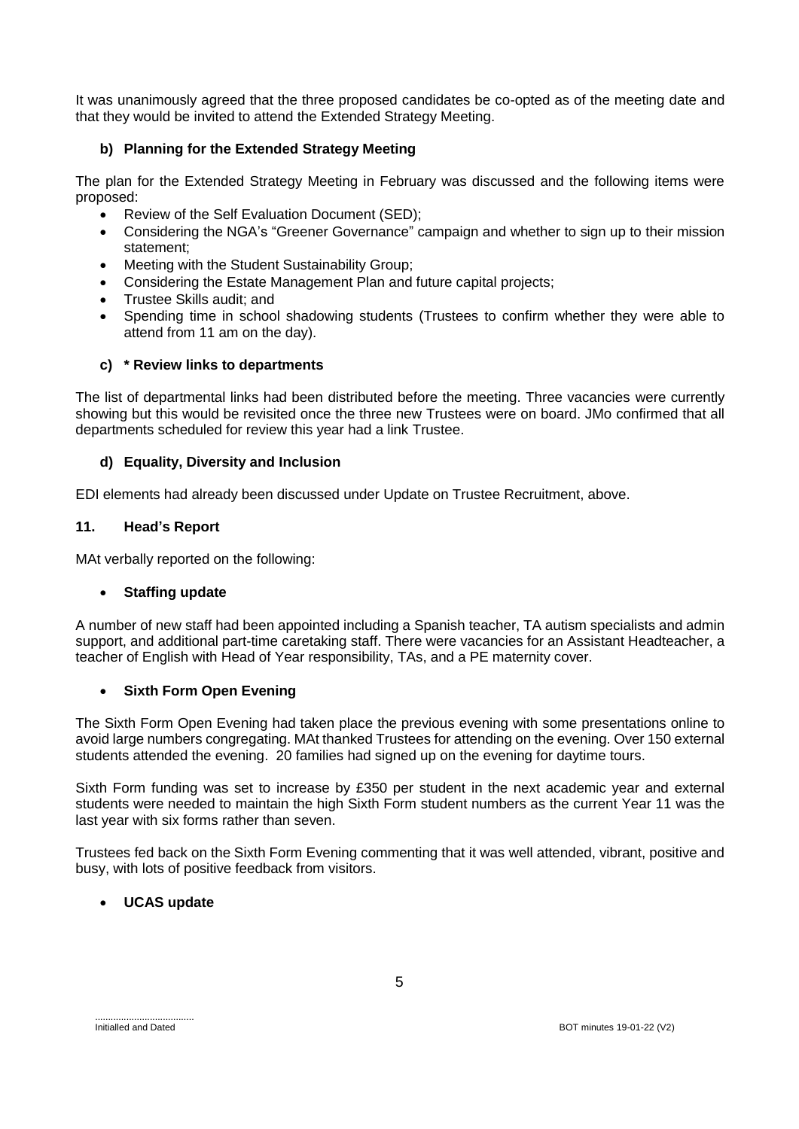It was unanimously agreed that the three proposed candidates be co-opted as of the meeting date and that they would be invited to attend the Extended Strategy Meeting.

# **b) Planning for the Extended Strategy Meeting**

The plan for the Extended Strategy Meeting in February was discussed and the following items were proposed:

- Review of the Self Evaluation Document (SED);
- Considering the NGA's "Greener Governance" campaign and whether to sign up to their mission statement;
- Meeting with the Student Sustainability Group;
- Considering the Estate Management Plan and future capital projects;
- Trustee Skills audit; and
- Spending time in school shadowing students (Trustees to confirm whether they were able to attend from 11 am on the day).

### **c) \* Review links to departments**

The list of departmental links had been distributed before the meeting. Three vacancies were currently showing but this would be revisited once the three new Trustees were on board. JMo confirmed that all departments scheduled for review this year had a link Trustee.

### **d) Equality, Diversity and Inclusion**

EDI elements had already been discussed under Update on Trustee Recruitment, above.

#### **11. Head's Report**

MAt verbally reported on the following:

### **Staffing update**

A number of new staff had been appointed including a Spanish teacher, TA autism specialists and admin support, and additional part-time caretaking staff. There were vacancies for an Assistant Headteacher, a teacher of English with Head of Year responsibility, TAs, and a PE maternity cover.

### **Sixth Form Open Evening**

The Sixth Form Open Evening had taken place the previous evening with some presentations online to avoid large numbers congregating. MAt thanked Trustees for attending on the evening. Over 150 external students attended the evening. 20 families had signed up on the evening for daytime tours.

Sixth Form funding was set to increase by £350 per student in the next academic year and external students were needed to maintain the high Sixth Form student numbers as the current Year 11 was the last year with six forms rather than seven.

Trustees fed back on the Sixth Form Evening commenting that it was well attended, vibrant, positive and busy, with lots of positive feedback from visitors.

### **UCAS update**

......................................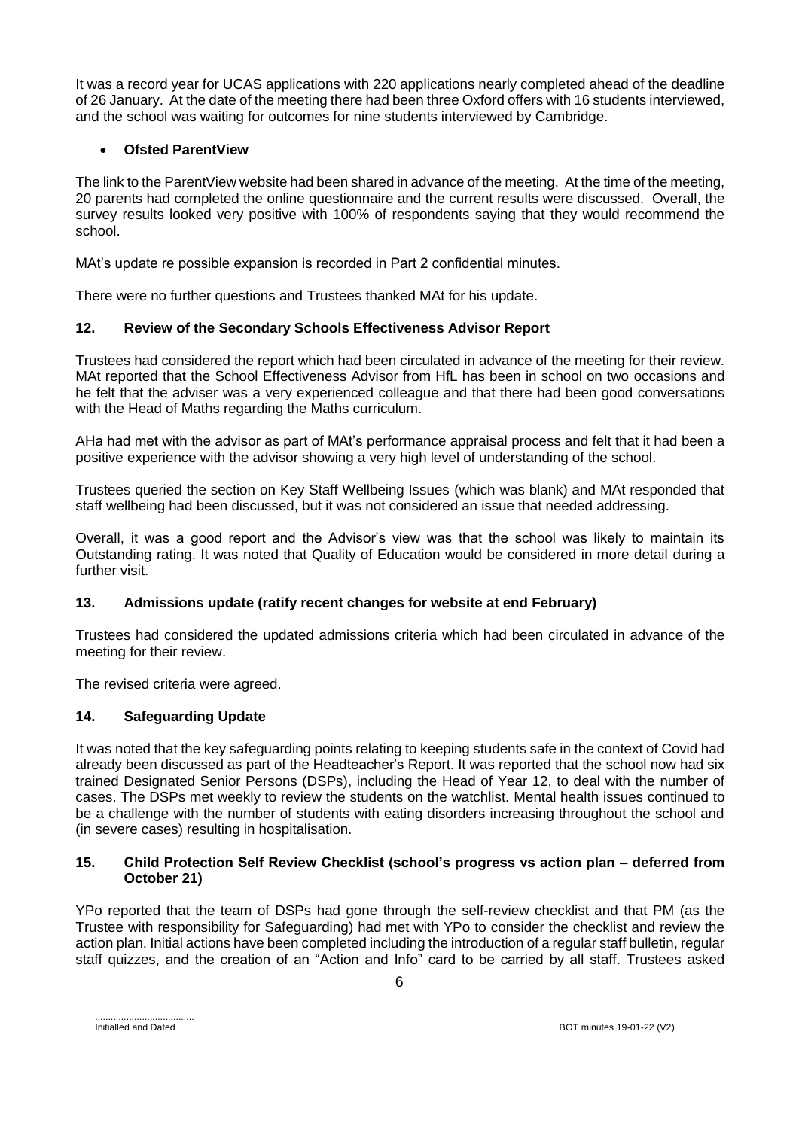It was a record year for UCAS applications with 220 applications nearly completed ahead of the deadline of 26 January. At the date of the meeting there had been three Oxford offers with 16 students interviewed, and the school was waiting for outcomes for nine students interviewed by Cambridge.

# **Ofsted ParentView**

The link to the ParentView website had been shared in advance of the meeting. At the time of the meeting, 20 parents had completed the online questionnaire and the current results were discussed. Overall, the survey results looked very positive with 100% of respondents saying that they would recommend the school.

MAt's update re possible expansion is recorded in Part 2 confidential minutes.

There were no further questions and Trustees thanked MAt for his update.

# **12. Review of the Secondary Schools Effectiveness Advisor Report**

Trustees had considered the report which had been circulated in advance of the meeting for their review. MAt reported that the School Effectiveness Advisor from HfL has been in school on two occasions and he felt that the adviser was a very experienced colleague and that there had been good conversations with the Head of Maths regarding the Maths curriculum.

AHa had met with the advisor as part of MAt's performance appraisal process and felt that it had been a positive experience with the advisor showing a very high level of understanding of the school.

Trustees queried the section on Key Staff Wellbeing Issues (which was blank) and MAt responded that staff wellbeing had been discussed, but it was not considered an issue that needed addressing.

Overall, it was a good report and the Advisor's view was that the school was likely to maintain its Outstanding rating. It was noted that Quality of Education would be considered in more detail during a further visit.

# **13. Admissions update (ratify recent changes for website at end February)**

Trustees had considered the updated admissions criteria which had been circulated in advance of the meeting for their review.

The revised criteria were agreed.

# **14. Safeguarding Update**

It was noted that the key safeguarding points relating to keeping students safe in the context of Covid had already been discussed as part of the Headteacher's Report. It was reported that the school now had six trained Designated Senior Persons (DSPs), including the Head of Year 12, to deal with the number of cases. The DSPs met weekly to review the students on the watchlist. Mental health issues continued to be a challenge with the number of students with eating disorders increasing throughout the school and (in severe cases) resulting in hospitalisation.

### **15. Child Protection Self Review Checklist (school's progress vs action plan – deferred from October 21)**

YPo reported that the team of DSPs had gone through the self-review checklist and that PM (as the Trustee with responsibility for Safeguarding) had met with YPo to consider the checklist and review the action plan. Initial actions have been completed including the introduction of a regular staff bulletin, regular staff quizzes, and the creation of an "Action and Info" card to be carried by all staff. Trustees asked

......................................